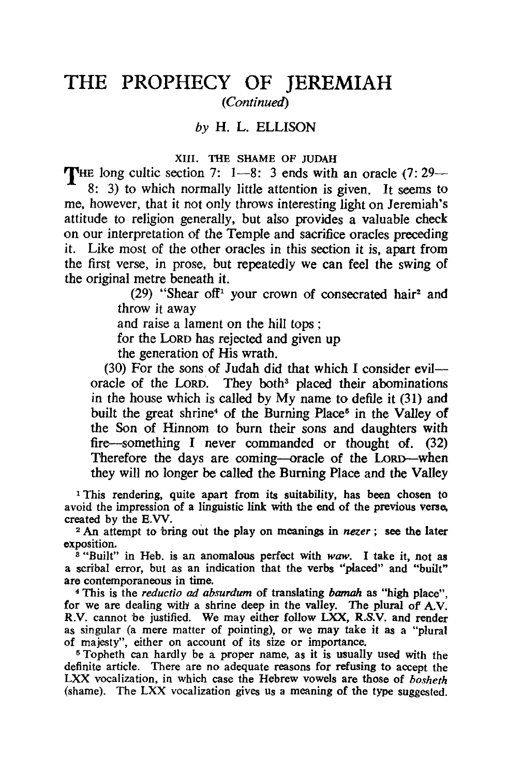## **THE PROPHECY OF JEREMIAH**  *(Continued)*

*by* H. L. ELLISON

## XIII. THE SHAME OF JUDAH

THE long cultic section 7: 1-8: 3 ends with an oracle (7:29-

8: 3) to which normally little attention is given. It seems to me, however, that it not only throws interesting light on Jeremiah's attitude to religion generally, but also provides a valuable check on our interpretation of the Temple and sacrifice oracles preceding it. Like most of the other oracles in this section it is, apart from the first verse, in prose, but repeatedly we can feel the swing of the original metre beneath it.

(29) "Shear off<sup>1</sup> your crown of consecrated hair<sup>2</sup> and throw it away

and raise a lament on the hill tops ;

for the LoRD has rejected and given up

the generation of His wrath.

(30) For the sons of Judah did that which I consider eviloracle of the LoRD. They both<sup>3</sup> placed their abominations in the house which is called by My name to defile it (31) and built the great shrine<sup>4</sup> of the Burning Place<sup>5</sup> in the Valley of the Son of Hinnom to burn their sons and daughters with fire-something I never commanded or thought of. (32) Therefore the days are coming-oracle of the LoRD-when they will no longer be called the Burning Place and the VaIley

<sup>1</sup>This rendering, quite apart from its suitability, has been chosen to avoid the impression of a linguistic link with the end of the previous verse, created by the E.W.

<sup>2</sup>An attempt to 'bring out the play on meanings in *nezer;* see the later exposition.

8 "Built" in Heb. is an anomalous perfect with *waw.* I take it, not as a scribal error, but as an indication that the verbs "placed" and "built" are contemporaneous in time.

4 This is the *reductio ad absurdum* of translating *bamah* as "high place", for we are dealing with a shrine deep in the valley. The plural of A.V. R.V. cannot be justified. We may either follow LXX, R.S.V. and render as singular (a mere matter of pointing), or we may take it as a "plural of majesty", either on account of its size or importance.

5 Topheth can hardly be a proper name, as it is usually used with the definite article. There are no adequate reasons for refusing to accept the LXX vocalization, in which case the Hebrew vowels are those of *bosheth*  (shame). The LXX vocalization gives us a meaning of the type suggested.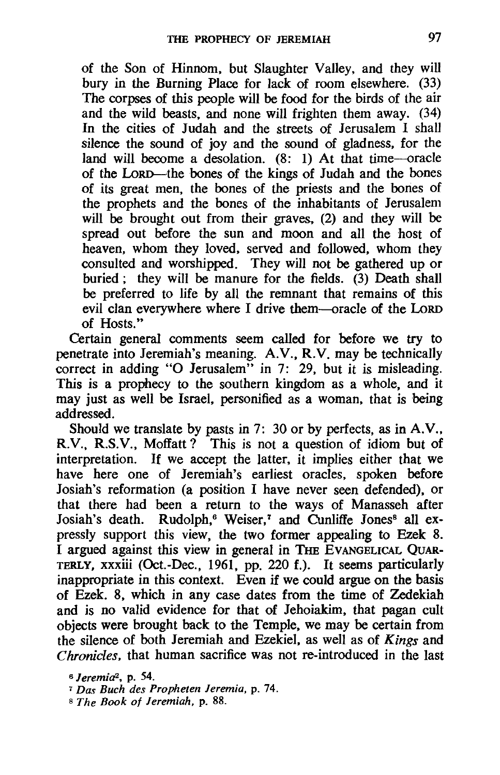of the Son of Hinnom, but Slaughter Valley, and they will bury in the Burning Place for lack of room elsewhere. (33) The corpses of this people will be food for the birds of the air and the wild beasts, and none will frighten them away. (34) In the cities of Judah and the streets of Jerusalem I shall silence the sound of joy and the sound of gladness, for the land will become a desolation. (8: 1) At that time-oracle of the LORD—the bones of the kings of Judah and the bones of its great men, the bones of the priests and the bones of the prophets and the bones of the inhabitants of Jerusalem will be brought out from their graves, (2) and they will be spread out before the sun and moon and all the host of heaven, whom they loved, served and followed, whom they consulted and worshipped. They will not be gathered up or buried; they will be manure for the fields.  $(3)$  Death shall be preferred to life by all the remnant that remains of this evil clan everywhere where I drive them-oracle of the LoRD of Hosts."

Certain general comments seem called for before we try to penetrate into Jeremiah's meaning. A.V., R.V. may be technically correct in adding "O Jerusalem" in 7: 29, but it is misleading. This is a prophecy to the southern kingdom as a whole, and it may just as well be Israel, personified as a woman, that is being addressed.

Should we translate by pasts in 7: 30 or by perfects, as in A.V., R.V., R.S.V., Moflatt? This is not a question of idiom but of interpretation. If we accept the latter, it implies either that we have here one of Jeremiah's earliest oracles, spoken before Josiah's reformation (a position I have never seen defended), or that there had been a return to the ways of Manasseh after Josiah's death. Rudolph,<sup>6</sup> Weiser,<sup>7</sup> and Cunliffe Jones<sup>8</sup> all expressly support this view, the two former appealing to Ezek 8. I argued against this view in general in THE EVANGELICAL QUAR-TERLY, xxxiii (Oct.-Dec., 1961, pp. 220 f.). It seems particularly inappropriate in this context. Even if we could argue on the basis of Ezek. 8, which in any case dates from the time of Zedekiah and is no valid evidence for that of Jehoiakim, that pagan cult objects were brought back to the Temple, we may be certain from the silence of both Jeremiah and Ezekiel. as well as of *Kings* and *Chronicles,* that human sacrifice was not re-introduced in the last

*<sup>6</sup> Jeremia2,* p. 54.

<sup>7</sup>*Das Buch des Prophetell Jeremia,* p. 74.

<sup>8</sup> *The Book of Jeremiah.* p. 88.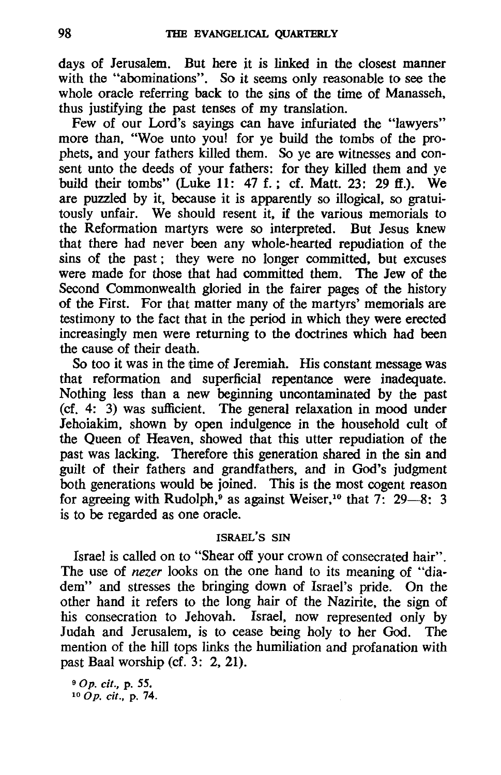days of Jerusalem. But here it is linked in the closest manner with the "abominations". So it seems only reasonable to see the whole oracle referring back to the sins of the time of Manasseh, thus justifying the past tenses of my translation.

Few of our Lord's sayings can have infuriated the "lawyers" more than, "Woe unto you! for ye build the tombs of the prophets, and your fathers killed them. So ye are witnesses and consent unto the deeds of your fathers: for they killed them and ye build their tombs" (Luke 11: 47 f.; cf. Matt. 23: 29 ff.). We are puzzled by it, because it is apparently so illogical, so gratuitously unfair. We should resent it, if the various memorials to the Reformation martyrs were so interpreted. But Jesus knew that there had never been any whole-hearted repudiation of the sins of the past; they were no longer committed, but excuses were made for those that had committed them. The Jew of the Second Commonwealth gloried in the fairer pages of the history of the First. For that matter many of the martyrs' memorials are testimony to the fact that in the period in which they were erected increasingly men were returning to the doctrines which had been the cause of their death.

So too it was in the time of Jeremiah. His constant message was that reformation and superficial repentance were inadequate. Nothing less than a new beginning uncontaminated by the past (cf. 4: 3) was sufficient. The general relaxation in mood under lehoiakim, shown by open indulgence in the household cult of the Queen of Heaven, showed that this utter repudiation of the past was lacking. Therefore this generation shared in the sin and guilt of their fathers and grandfathers, and in God's judgment both generations would be joined. This is the most cogent reason for agreeing with Rudolph,<sup>9</sup> as against Weiser,<sup>10</sup> that  $7\frac{1}{2}$  29-8: 3 is to be regarded as one oracle.

## ISRAEL'S SIN

Israel is called on to "Shear off your crown of consecrated hair". The use of *nezer* looks on the one hand to its meaning of "diadem" and stresses the bringing down of Israel's pride. On the other hand it refers to the long hair of the Nazirite, the sign of his consecration to Jehovah. Israel, now represented only by ludah and Jerusalem, is to cease being holy to her God. The mention of the hilI tops links the humiliation and profanation with past Baal worship (cf. 3: 2, 21).

90p. cif., p. 55.  $10$  Op. cit., p. 74.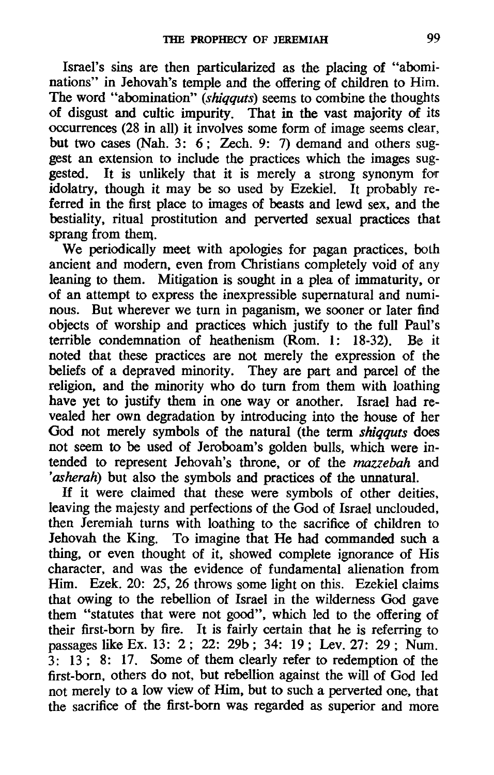Israel's sins are then particularized as the placing of "abominations" in Jehovah's temple and the offering of children to Him. The word "abomination" *(shiqquts)* seems to combine the thoughts of disgust and cultic impurity. That in the vast majority of its occurrences (28 in all) it involves some form of image seems clear, but two cases (Nah. 3: 6; Zech. 9: 7) demand and others suggest an extension to include the practices which the images suggested. It is unlikely that it is merely a strong synonym for idolatry, though it may be so used by Ezekiel. It probably referred in the first place to images of beasts and lewd sex, and the bestiality, ritual prostitution and perverted sexual practices that sprang from them.

We periodically meet with apologies for pagan practices, both ancient and modern, even from Christians completely void of any leaning to them. Mitigation is sought in a plea of immaturity, or of an attempt to express the inexpressible supernatural and numinous. But wherever we turn in paganism, we sooner or later find objects of worship and practices which justify to the full Paul's terrible condemnation of heathenism (Rom. 1: 18-32). Be it noted that these practices are not merely the expression of the beliefs of a depraved minority. They are part and parcel of the religion, and the minority who do turn from them with loathing have yet to justify them in one way or another. Israel had revealed her own degradation by introducing into the house of her God not merely symbols of the natural (the term *shiqquts* does not seem to be used of Jeroboam's golden bulls, which were intended to represent Jehovah's throne, or of the *mazzebah* and *'asherah)* but also the symbols and practices of the unnatural.

If it were claimed that these were symbols of other deities, leaving the majesty and perfections of the God of Israel unclouded, then Jeremiah turns with loathing to the sacrifice of children to Jehovah the King. To imagine that He had commanded such a thing, or even thought of it, showed complete ignorance of His character, and was the evidence of fundamental alienation from Him. Ezek. 20: 25, 26 throws some light on this. Ezekiel claims that owing to the rebellion of Israel in the wilderness God gave them "statutes that were not good", which led to the offering of their first-born by fire. It is fairly certain that he is referring to passages like Ex. 13: 2; 22: 29b; 34: 19; Lev.27: 29; Num. 3: 13; 8: 17. Some of them clearly refer to redemption of the first-born, others do not, but rebellion against the will of God led not merely to a low view of Him, but to such a perverted one, that the sacrifice of the first-born was regarded as superior and more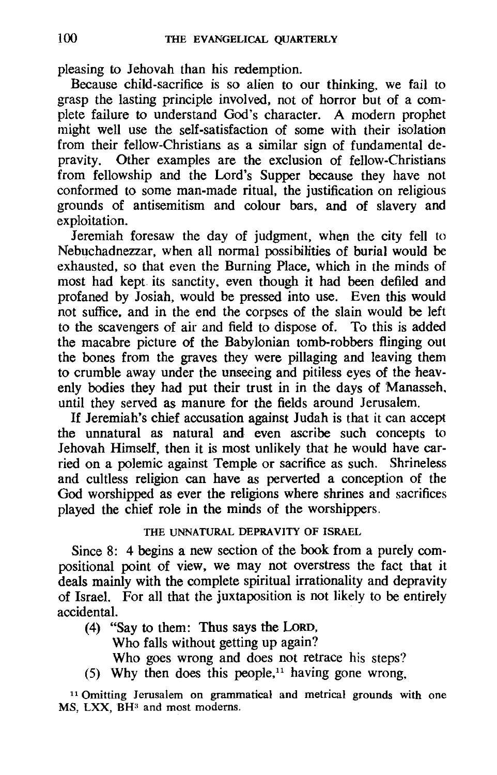pleasing to Jehovah than his redemption.

Because child-sacrifice is so alien to our thinking, we fail to grasp the lasting principle involved, not of horror but of a complete failure to understand God's character. A modern prophet might well use the self-satisfaction of some with their isolation from their fellow-Christians as a similar sign of fundamental depravity. Other examples are the exclusion of fellow-Christians from fellowship and the Lord's Supper because they have not conformed to some man-made ritual, the justification on religious grounds of antisemitism and colour bars, and of slavery and exploitation.

Jeremiah foresaw the day of judgment, when the city fell to Nebuchadnezzar, when all normal possibilities of burial would be exhausted, so that even the Burning Place, which in the minds of most had kept its sanctity, even though it had been defiled and profaned by Josiah, would be pressed into use. Even this would not suffice, and in the end the corpses of the slain would be left to the scavengers of air and field to dispose of. To this is added the macabre picture of the Babylonian tomb-robbers flinging out the bones from the graves they were pillaging and leaving them to crumble away under the unseeing and pitiless eyes of the heavenly bodies they had put their trust in in the days of Manasseh, until they served as manure for the fields around Jerusalem.

If Jeremiah's chief accusation against Judah is that it can accept the unnatural as natural and even ascribe such concepts to Jehovah Himself, then it is most unlikely that he would have carried on a polemic against Temple or sacrifice as such. Shrineless and cultless religion can have as perverted a conception of the God worshipped as ever the religions where shrines and sacrifices played the chief role in the minds of the worshippers.

## THE UNNATURAL DEPRAVITY OF ISRAEL

Since 8: 4 begins a new section of the book from a purely compositional point of view, we may not overstress the fact that it deals mainly with the complete spiritual irrationality and depravity of Israel. For all that the juxtaposition is not likely to be entirely accidental.

- (4) "Say to them: Thus says the LoRD, Who falls without getting up again? Who goes wrong and does not retrace his steps?
- (5) Why then does this people,<sup>11</sup> having gone wrong,

11 Omitting Jerusalem on grammatical and metrical grounds with one MS, LXX, BH<sup>3</sup> and most moderns.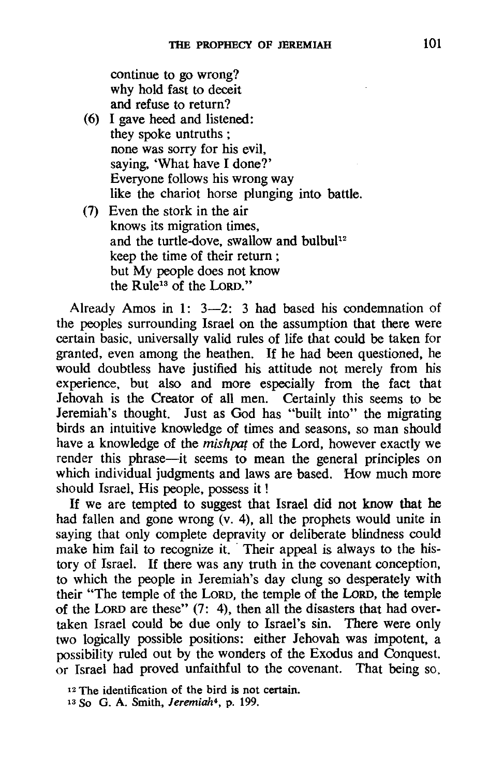continue to go wrong? why hold fast to deceit and refuse to return?

- (6) I gave heed and listened: they spoke untruths; none was sorry for his evil, saying. 'What have I done?' Everyone follows his wrong way like the chariot horse plunging into battle.
- (7) Even the stork in the air knows its migration times, and the turtle-dove, swallow and bulbul<sup>12</sup> keep the time of their return ; but My people does not know the Rule13 of the LoRD."

Already Amos in 1: 3-2: 3 had based his condemnation of the peoples surrounding Israel on the assumption that there were certain basic. universally valid rules of life that could be taken for granted, even among the heathen. If he had been questioned, he would doubtless have justified his attitude not merely from his experience. but also and more especially from the fact that Jehovah is the Creator of all men. Certainly this seems to be Jeremiah's thought. Just as God has "built into" the migrating birds an intuitive knowledge of times and seasons, so man should have a knowledge of the *mishpat* of the Lord, however exactly we render this phrase—it seems to mean the general principles on which individual judgments and laws are based. How much more should Israel, His people, possess it !

If we are tempted to suggest that Israel did not know that he had fallen and gone wrong (v. 4), all the prophets would unite in saying that only complete depravity or deliberate blindness could make him fail to recognize it. Their appeal is always to the history of Israel. If there was any truth in the covenant conception, to which the people in Jeremiah's day clung so desperately with their "The temple of the LORD, the temple of the LoRD, the temple of the LoRD are these" (7: 4), then all the disasters that had overtaken Israel could be due only to Israel's sin. There were only two logically possible positions: either Jehovah was impotent, a possibility ruled out by the wonders of the Exodus and Conquest. or Israel had proved unfaithful to the covenant. That being so,

<sup>12</sup> The identification of the bird is not certain.

<sup>13</sup> So G, A. Smith, Jeremiah4, p. 199.